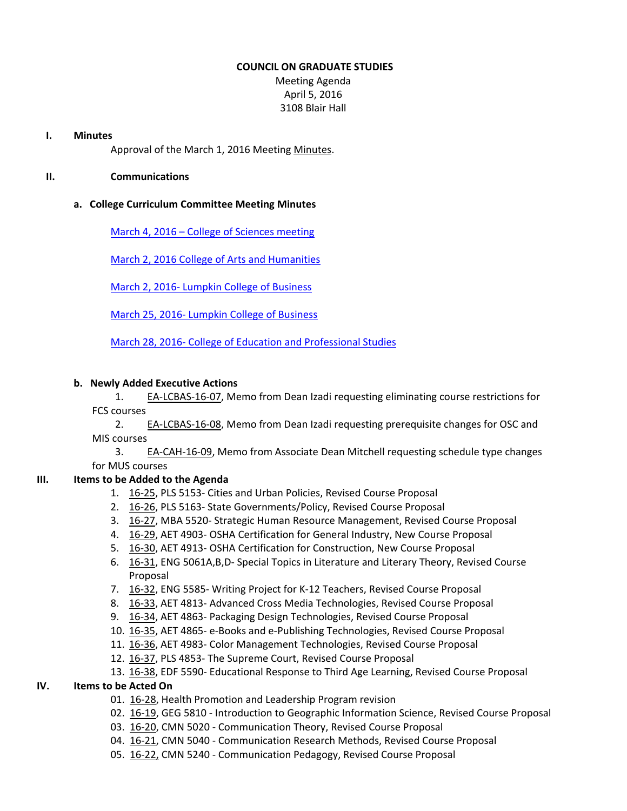### **COUNCIL ON GRADUATE STUDIES**

Meeting Agenda April 5, 2016 3108 Blair Hall

#### **I. Minutes**

Approval of the March 1, 2016 Meeting [Minutes.](http://castle.eiu.edu/eiucgs/currentminutes/Minutes03-01-16.pdf)

# **II. Communications**

# **a. College Curriculum Committee Meeting Minutes**

March 4, 2016 – College of [Sciences](http://www.eiu.edu/colsci/coscc/minutes_2016/MINUTES_3_4_16.pdf) meeting

March 2, 2016 College of Arts and [Humanities](http://www.eiu.edu/AHColleg/cahcc_minutes/ay16_cahcc_minutes/03-2-16_Minutes.pdf)

March 2, 2016‐ Lumpkin College of [Business](http://www.eiu.edu/lumpkin/Curriculum/lcbascurrmin20160302.pdf)

March 25, 2016‐ Lumpkin College of [Business](http://www.eiu.edu/lumpkin/Curriculum/lcbascurrmin20160325.pdf)

March 28, 2016‐ College of Education and [Professional](http://www.eiu.edu/cepscurriculum/ay20152016/supportdocs/march/curr_minutes03282016.pdf) Studies

# **b. Newly Added Executive Actions**

1. EA‐[LCBAS](http://castle.eiu.edu/~eiucgs/exec-actions/EA-LCBAS-16-07.pdf)‐16‐07, Memo from Dean Izadi requesting eliminating course restrictions for FCS courses

2. EA‐[LCBAS](http://castle.eiu.edu/~eiucgs/exec-actions/EA-LCBAS-16-08.pdf)‐16‐08, Memo from Dean Izadi requesting prerequisite changes for OSC and MIS courses

3. EA‐[CAH](http://castle.eiu.edu/~eiucgs/exec-actions/EA-CAH-16-09.pdf)‐16‐09, Memo from Associate Dean Mitchell requesting schedule type changes for MUS courses

# **III. Items to be Added to the Agenda**

- 1. 16‐[25,](http://castle.eiu.edu/~eiucgs/currentagendaitems/agenda16-25.pdf) PLS 5153‐ Cities and Urban Policies, Revised Course Proposal
- 2. 16-[26,](http://castle.eiu.edu/~eiucgs/currentagendaitems/agenda16-26.pdf) PLS 5163- State Governments/Policy, Revised Course Proposal
- 3. 16‐[27,](http://castle.eiu.edu/~eiucgs/currentagendaitems/agenda16-27.pdf) MBA 5520‐ Strategic Human Resource Management, Revised Course Proposal
- 4. 16‐[29,](http://castle.eiu.edu/~eiucgs/currentagendaitems/agenda16-29.pdf) AET 4903‐ OSHA Certification for General Industry, New Course Proposal
- 5. 16‐[30,](http://castle.eiu.edu/~eiucgs/currentagendaitems/agenda16-30.pdf) AET 4913‐ OSHA Certification for Construction, New Course Proposal
- 6. 16‐[31,](http://castle.eiu.edu/~eiucgs/currentagendaitems/agenda16-31.pdf) ENG 5061A,B,D‐ Special Topics in Literature and Literary Theory, Revised Course Proposal
- 7. 16‐[32,](http://castle.eiu.edu/~eiucgs/currentagendaitems/agenda16-32.pdf) ENG 5585‐ Writing Project for K‐12 Teachers, Revised Course Proposal
- 8. 16‐[33,](http://castle.eiu.edu/~eiucgs/currentagendaitems/agenda16-33.pdf) AET 4813‐ Advanced Cross Media Technologies, Revised Course Proposal
- 9. 16-[34,](http://castle.eiu.edu/~eiucgs/currentagendaitems/agenda16-34.pdf) AET 4863- Packaging Design Technologies, Revised Course Proposal
- 10. 16‐[35,](http://castle.eiu.edu/~eiucgs/currentagendaitems/agenda16-35.pdf) AET 4865‐ e‐Books and e‐Publishing Technologies, Revised Course Proposal
- 11. 16‐[36,](http://castle.eiu.edu/~eiucgs/currentagendaitems/agenda16-36.pdf) AET 4983‐ Color Management Technologies, Revised Course Proposal
- 12. 16-[37,](http://castle.eiu.edu/~eiucgs/currentagendaitems/agenda16-37.pdf) PLS 4853- The Supreme Court, Revised Course Proposal
- 13. 16‐[38,](http://castle.eiu.edu/~eiucgs/currentagendaitems/agenda16-38.pdf) EDF 5590‐ Educational Response to Third Age Learning, Revised Course Proposal

# **IV. Items to be Acted On**

- 01. 16‐[28,](http://castle.eiu.edu/~eiucgs/currentagendaitems/agenda16-28.pdf) Health Promotion and Leadership Program revision
- 02. 16‐[19,](http://castle.eiu.edu/~eiucgs/currentagendaitems/agenda16-19.pdf) GEG 5810 ‐ Introduction to Geographic Information Science, Revised Course Proposal
- 03. [16](http://castle.eiu.edu/~eiucgs/currentagendaitems/agenda16-20.pdf)‐20, CMN 5020 ‐ Communication Theory, Revised Course Proposal
- 04. 16‐[21,](http://castle.eiu.edu/~eiucgs/currentagendaitems/agenda16-21.pdf) CMN 5040 ‐ Communication Research Methods, Revised Course Proposal
- 05. 16‐[22,](http://castle.eiu.edu/~eiucgs/currentagendaitems/agenda16-22.pdf) CMN 5240 ‐ Communication Pedagogy, Revised Course Proposal